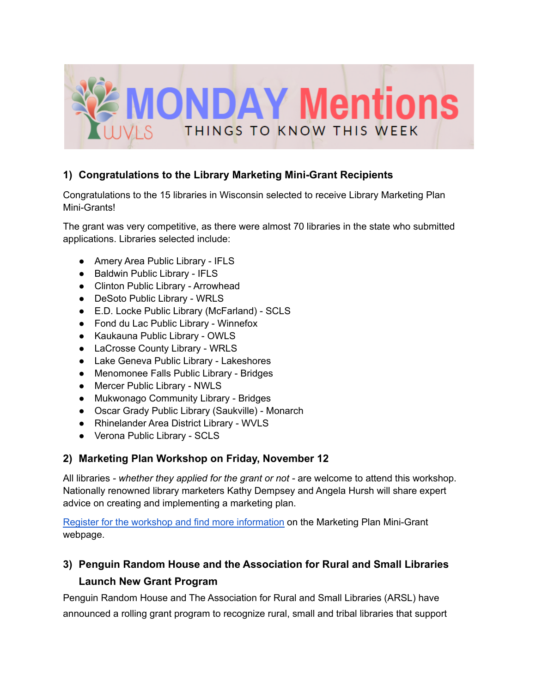

### **1) Congratulations to the Library Marketing Mini-Grant Recipients**

Congratulations to the 15 libraries in Wisconsin selected to receive Library Marketing Plan Mini-Grants!

The grant was very competitive, as there were almost 70 libraries in the state who submitted applications. Libraries selected include:

- Amery Area Public Library IFLS
- Baldwin Public Library IFLS
- Clinton Public Library Arrowhead
- DeSoto Public Library WRLS
- E.D. Locke Public Library (McFarland) SCLS
- Fond du Lac Public Library Winnefox
- Kaukauna Public Library OWLS
- LaCrosse County Library WRLS
- Lake Geneva Public Library Lakeshores
- Menomonee Falls Public Library Bridges
- Mercer Public Library NWLS
- Mukwonago Community Library Bridges
- Oscar Grady Public Library (Saukville) Monarch
- Rhinelander Area District Library WVLS
- Verona Public Library SCLS

### **2) Marketing Plan Workshop on Friday, November 12**

All libraries *- whether they applied for the grant or not -* are welcome to attend this workshop. Nationally renowned library marketers Kathy Dempsey and Angela Hursh will share expert advice on creating and implementing a marketing plan.

Register for the workshop and find more [information](https://library-marketing.owlswp.org/) on the Marketing Plan Mini-Grant webpage.

## **3) Penguin Random House and the Association for Rural and Small Libraries Launch New Grant Program**

Penguin Random House and The Association for Rural and Small Libraries (ARSL) have announced a rolling grant program to recognize rural, small and tribal libraries that support